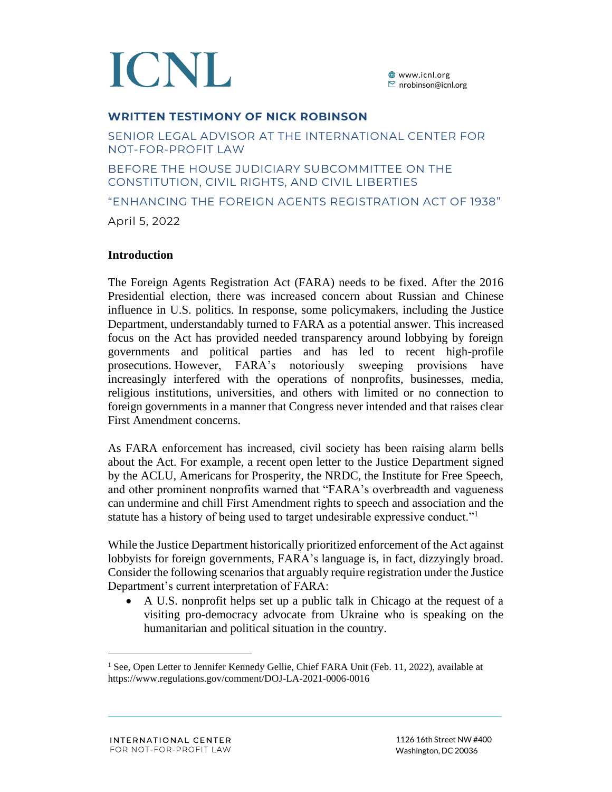

#### **WRITTEN TESTIMONY OF NICK ROBINSON**

SENIOR LEGAL ADVISOR AT THE INTERNATIONAL CENTER FOR NOT-FOR-PROFIT LAW

BEFORE THE HOUSE JUDICIARY SUBCOMMITTEE ON THE CONSTITUTION, CIVIL RIGHTS, AND CIVIL LIBERTIES

"ENHANCING THE FOREIGN AGENTS REGISTRATION ACT OF 1938"

April 5, 2022

#### **Introduction**

The Foreign Agents Registration Act (FARA) needs to be fixed. After the 2016 Presidential election, there was increased concern about Russian and Chinese influence in U.S. politics. In response, some policymakers, including the Justice Department, understandably turned to FARA as a potential answer. This increased focus on the Act has provided needed transparency around lobbying by foreign governments and political parties and has led to recent high-profile prosecutions. However, FARA's notoriously sweeping provisions have increasingly interfered with the operations of nonprofits, businesses, media, religious institutions, universities, and others with limited or no connection to foreign governments in a manner that Congress never intended and that raises clear First Amendment concerns.

As FARA enforcement has increased, civil society has been raising alarm bells about the Act. For example, a recent open letter to the Justice Department signed by the ACLU, Americans for Prosperity, the NRDC, the Institute for Free Speech, and other prominent nonprofits warned that "FARA's overbreadth and vagueness can undermine and chill First Amendment rights to speech and association and the statute has a history of being used to target undesirable expressive conduct."<sup>1</sup>

While the Justice Department historically prioritized enforcement of the Act against lobbyists for foreign governments, FARA's language is, in fact, dizzyingly broad. Consider the following scenarios that arguably require registration under the Justice Department's current interpretation of FARA:

• A U.S. nonprofit helps set up a public talk in Chicago at the request of a visiting pro-democracy advocate from Ukraine who is speaking on the humanitarian and political situation in the country.

<sup>&</sup>lt;sup>1</sup> See, Open Letter to Jennifer Kennedy Gellie, Chief FARA Unit (Feb. 11, 2022), available at https://www.regulations.gov/comment/DOJ-LA-2021-0006-0016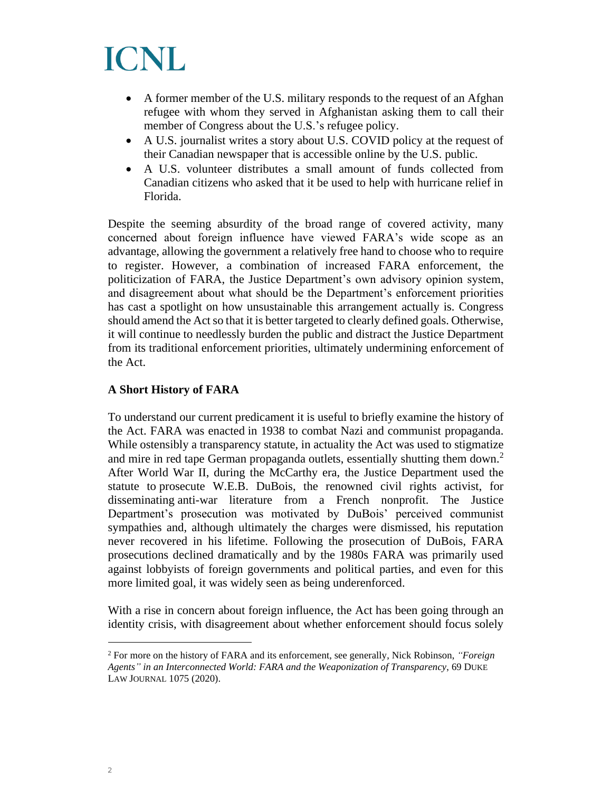

- A former member of the U.S. military responds to the request of an Afghan refugee with whom they served in Afghanistan asking them to call their member of Congress about the U.S.'s refugee policy.
- A U.S. journalist writes a story about U.S. COVID policy at the request of their Canadian newspaper that is accessible online by the U.S. public.
- A U.S. volunteer distributes a small amount of funds collected from Canadian citizens who asked that it be used to help with hurricane relief in Florida.

Despite the seeming absurdity of the broad range of covered activity, many concerned about foreign influence have viewed FARA's wide scope as an advantage, allowing the government a relatively free hand to choose who to require to register. However, a combination of increased FARA enforcement, the politicization of FARA, the Justice Department's own advisory opinion system, and disagreement about what should be the Department's enforcement priorities has cast a spotlight on how unsustainable this arrangement actually is. Congress should amend the Act so that it is better targeted to clearly defined goals. Otherwise, it will continue to needlessly burden the public and distract the Justice Department from its traditional enforcement priorities, ultimately undermining enforcement of the Act.

#### **A Short History of FARA**

To understand our current predicament it is useful to briefly examine the history of the Act. FARA was enacted in 1938 to combat Nazi and communist propaganda. While ostensibly a transparency statute, in actuality the Act was used to stigmatize and mire in red tape German propaganda outlets, essentially shutting them down.<sup>2</sup> After World War II, during the McCarthy era, the Justice Department used the statute to prosecute W.E.B. DuBois, the renowned civil rights activist, for disseminating anti-war literature from a French nonprofit. The Justice Department's prosecution was motivated by DuBois' perceived communist sympathies and, although ultimately the charges were dismissed, his reputation never recovered in his lifetime. Following the prosecution of DuBois, FARA prosecutions declined dramatically and by the 1980s FARA was primarily used against lobbyists of foreign governments and political parties, and even for this more limited goal, it was widely seen as being underenforced.

With a rise in concern about foreign influence, the Act has been going through an identity crisis, with disagreement about whether enforcement should focus solely

<sup>2</sup> For more on the history of FARA and its enforcement, see generally, Nick Robinson, *"Foreign Agents" in an Interconnected World: FARA and the Weaponization of Transparency*, 69 DUKE LAW JOURNAL 1075 (2020).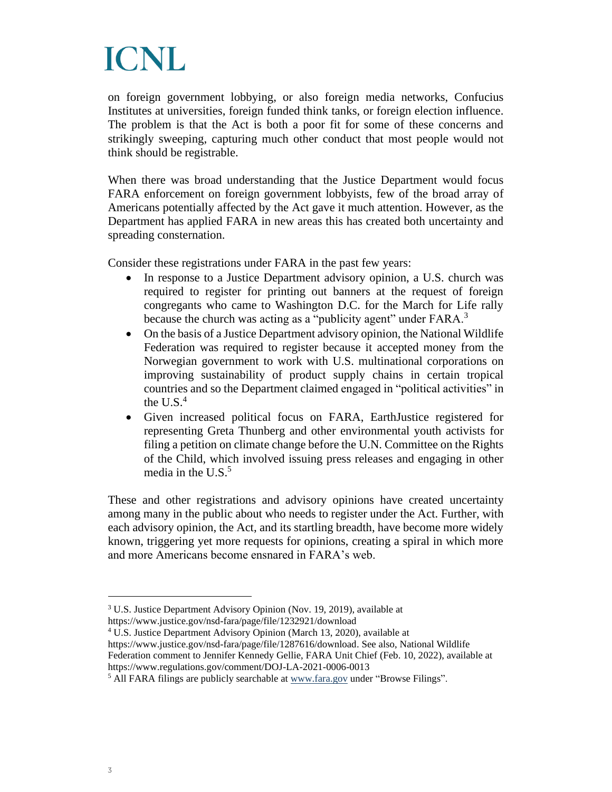on foreign government lobbying, or also foreign media networks, Confucius Institutes at universities, foreign funded think tanks, or foreign election influence. The problem is that the Act is both a poor fit for some of these concerns and strikingly sweeping, capturing much other conduct that most people would not think should be registrable.

When there was broad understanding that the Justice Department would focus FARA enforcement on foreign government lobbyists, few of the broad array of Americans potentially affected by the Act gave it much attention. However, as the Department has applied FARA in new areas this has created both uncertainty and spreading consternation.

Consider these registrations under FARA in the past few years:

- In response to a Justice Department advisory opinion, a U.S. church was required to register for printing out banners at the request of foreign congregants who came to Washington D.C. for the March for Life rally because the church was acting as a "publicity agent" under FARA.<sup>3</sup>
- On the basis of a Justice Department advisory opinion, the National Wildlife Federation was required to register because it accepted money from the Norwegian government to work with U.S. multinational corporations on improving sustainability of product supply chains in certain tropical countries and so the Department claimed engaged in "political activities" in the U.S. $<sup>4</sup>$ </sup>
- Given increased political focus on FARA, EarthJustice registered for representing Greta Thunberg and other environmental youth activists for filing a petition on climate change before the U.N. Committee on the Rights of the Child, which involved issuing press releases and engaging in other media in the U.S. 5

These and other registrations and advisory opinions have created uncertainty among many in the public about who needs to register under the Act. Further, with each advisory opinion, the Act, and its startling breadth, have become more widely known, triggering yet more requests for opinions, creating a spiral in which more and more Americans become ensnared in FARA's web.

<sup>4</sup> U.S. Justice Department Advisory Opinion (March 13, 2020), available at https://www.justice.gov/nsd-fara/page/file/1287616/download. See also, National Wildlife Federation comment to Jennifer Kennedy Gellie, FARA Unit Chief (Feb. 10, 2022), available at https://www.regulations.gov/comment/DOJ-LA-2021-0006-0013

<sup>3</sup> U.S. Justice Department Advisory Opinion (Nov. 19, 2019), available at https://www.justice.gov/nsd-fara/page/file/1232921/download

<sup>5</sup> All FARA filings are publicly searchable a[t www.fara.gov](http://www.fara.gov/) under "Browse Filings".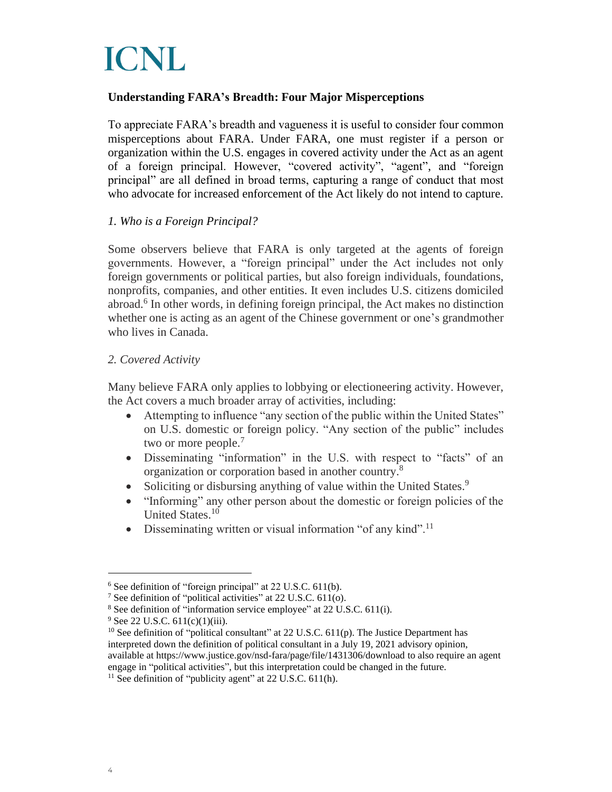#### **Understanding FARA's Breadth: Four Major Misperceptions**

To appreciate FARA's breadth and vagueness it is useful to consider four common misperceptions about FARA. Under FARA, one must register if a person or organization within the U.S. engages in covered activity under the Act as an agent of a foreign principal. However, "covered activity", "agent", and "foreign principal" are all defined in broad terms, capturing a range of conduct that most who advocate for increased enforcement of the Act likely do not intend to capture.

#### *1. Who is a Foreign Principal?*

Some observers believe that FARA is only targeted at the agents of foreign governments. However, a "foreign principal" under the Act includes not only foreign governments or political parties, but also foreign individuals, foundations, nonprofits, companies, and other entities. It even includes U.S. citizens domiciled abroad.<sup>6</sup> In other words, in defining foreign principal, the Act makes no distinction whether one is acting as an agent of the Chinese government or one's grandmother who lives in Canada.

#### *2. Covered Activity*

Many believe FARA only applies to lobbying or electioneering activity. However, the Act covers a much broader array of activities, including:

- Attempting to influence "any section of the public within the United States" on U.S. domestic or foreign policy. "Any section of the public" includes two or more people.<sup>7</sup>
- Disseminating "information" in the U.S. with respect to "facts" of an organization or corporation based in another country.<sup>8</sup>
- Soliciting or disbursing anything of value within the United States.<sup>9</sup>
- "Informing" any other person about the domestic or foreign policies of the United States.<sup>10</sup>
- Disseminating written or visual information "of any kind".<sup>11</sup>

<sup>6</sup> See definition of "foreign principal" at 22 U.S.C. 611(b).

<sup>7</sup> See definition of "political activities" at 22 U.S.C. 611(o).

<sup>8</sup> See definition of "information service employee" at 22 U.S.C. 611(i).

<sup>&</sup>lt;sup>9</sup> See 22 U.S.C. 611(c)(1)(iii).

 $10$  See definition of "political consultant" at 22 U.S.C. 611(p). The Justice Department has interpreted down the definition of political consultant in a July 19, 2021 advisory opinion, available at https://www.justice.gov/nsd-fara/page/file/1431306/download to also require an agent engage in "political activities", but this interpretation could be changed in the future.

 $11$  See definition of "publicity agent" at 22 U.S.C. 611(h).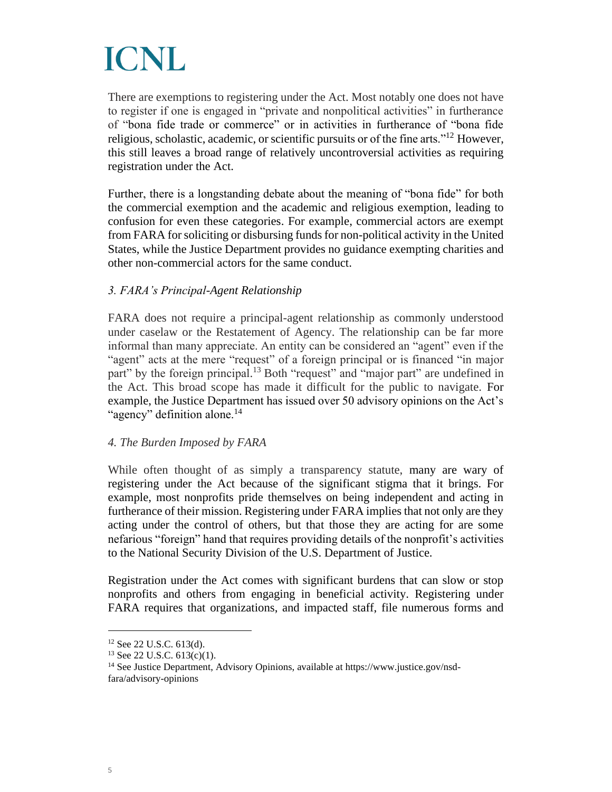There are exemptions to registering under the Act. Most notably one does not have to register if one is engaged in "private and nonpolitical activities" in furtherance of "bona fide trade or commerce" or in activities in furtherance of "bona fide religious, scholastic, academic, or scientific pursuits or of the fine arts."<sup>12</sup> However, this still leaves a broad range of relatively uncontroversial activities as requiring registration under the Act.

Further, there is a longstanding debate about the meaning of "bona fide" for both the commercial exemption and the academic and religious exemption, leading to confusion for even these categories. For example, commercial actors are exempt from FARA for soliciting or disbursing funds for non-political activity in the United States, while the Justice Department provides no guidance exempting charities and other non-commercial actors for the same conduct.

#### *3. FARA's Principal-Agent Relationship*

FARA does not require a principal-agent relationship as commonly understood under caselaw or the Restatement of Agency. The relationship can be far more informal than many appreciate. An entity can be considered an "agent" even if the "agent" acts at the mere "request" of a foreign principal or is financed "in major part" by the foreign principal.<sup>13</sup> Both "request" and "major part" are undefined in the Act. This broad scope has made it difficult for the public to navigate. For example, the Justice Department has issued over 50 advisory opinions on the Act's "agency" definition alone.<sup>14</sup>

#### *4. The Burden Imposed by FARA*

While often thought of as simply a transparency statute, many are wary of registering under the Act because of the significant stigma that it brings. For example, most nonprofits pride themselves on being independent and acting in furtherance of their mission. Registering under FARA implies that not only are they acting under the control of others, but that those they are acting for are some nefarious "foreign" hand that requires providing details of the nonprofit's activities to the National Security Division of the U.S. Department of Justice.

Registration under the Act comes with significant burdens that can slow or stop nonprofits and others from engaging in beneficial activity. Registering under FARA requires that organizations, and impacted staff, file numerous forms and

 $12$  See 22 U.S.C. 613(d).

<sup>13</sup> See 22 U.S.C. 613(c)(1).

<sup>&</sup>lt;sup>14</sup> See Justice Department, Advisory Opinions, available at https://www.justice.gov/nsdfara/advisory-opinions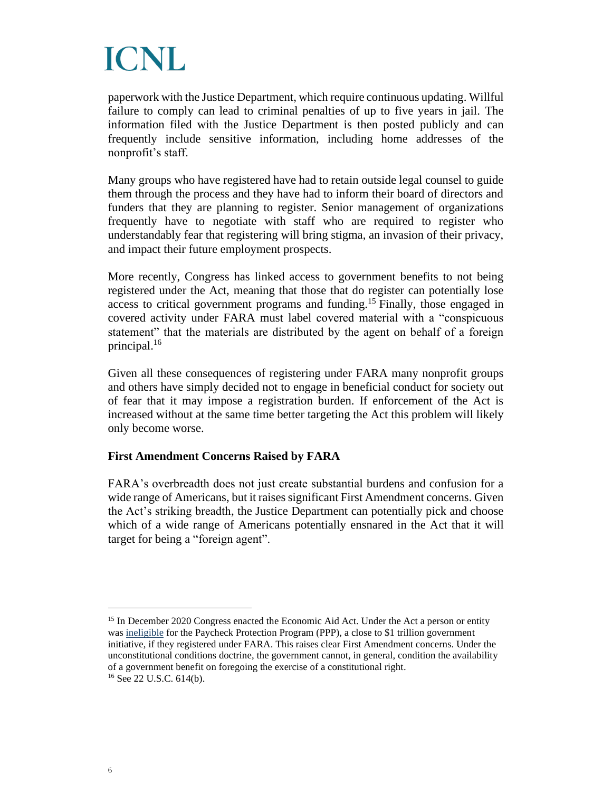paperwork with the Justice Department, which require continuous updating. Willful failure to comply can lead to criminal penalties of up to five years in jail. The information filed with the Justice Department is then posted publicly and can frequently include sensitive information, including home addresses of the nonprofit's staff.

Many groups who have registered have had to retain outside legal counsel to guide them through the process and they have had to inform their board of directors and funders that they are planning to register. Senior management of organizations frequently have to negotiate with staff who are required to register who understandably fear that registering will bring stigma, an invasion of their privacy, and impact their future employment prospects.

More recently, Congress has linked access to government benefits to not being registered under the Act, meaning that those that do register can potentially lose access to critical government programs and funding.<sup>15</sup> Finally, those engaged in covered activity under FARA must label covered material with a "conspicuous statement" that the materials are distributed by the agent on behalf of a foreign principal.<sup>16</sup>

Given all these consequences of registering under FARA many nonprofit groups and others have simply decided not to engage in beneficial conduct for society out of fear that it may impose a registration burden. If enforcement of the Act is increased without at the same time better targeting the Act this problem will likely only become worse.

#### **First Amendment Concerns Raised by FARA**

FARA's overbreadth does not just create substantial burdens and confusion for a wide range of Americans, but it raises significant First Amendment concerns. Given the Act's striking breadth, the Justice Department can potentially pick and choose which of a wide range of Americans potentially ensnared in the Act that it will target for being a "foreign agent".

<sup>15</sup> In December 2020 Congress enacted the Economic Aid Act. Under the Act a person or entity was [ineligible](https://www.lexology.com/library/detail.aspx?g=5236ae95-ea30-495d-9186-0cbc5526fbd2) for the Paycheck Protection Program (PPP), a close to \$1 trillion government initiative, if they registered under FARA. This raises clear First Amendment concerns. Under the unconstitutional conditions doctrine, the government cannot, in general, condition the availability of a government benefit on foregoing the exercise of a constitutional right.  $16$  See 22 U.S.C. 614(b).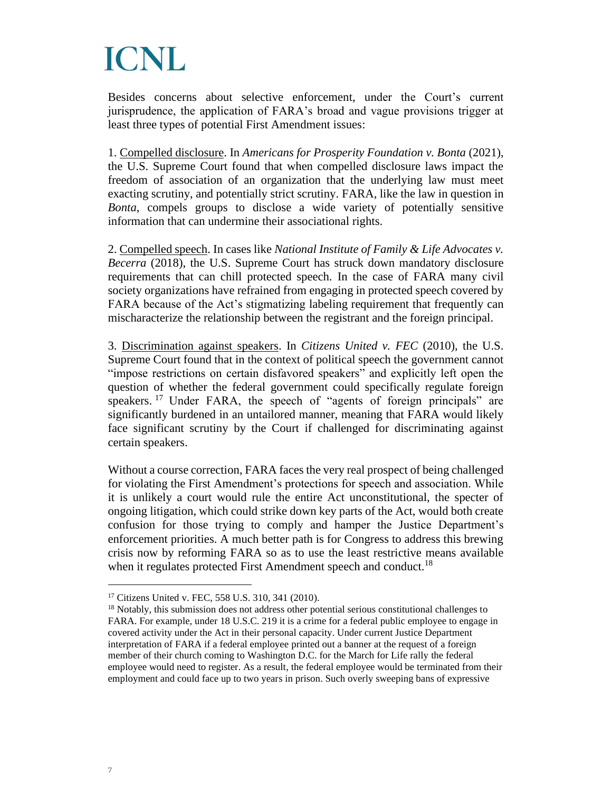Besides concerns about selective enforcement, under the Court's current jurisprudence, the application of FARA's broad and vague provisions trigger at least three types of potential First Amendment issues:

1. Compelled disclosure. In *Americans for Prosperity Foundation v. Bonta* (2021), the U.S. Supreme Court found that when compelled disclosure laws impact the freedom of association of an organization that the underlying law must meet exacting scrutiny, and potentially strict scrutiny. FARA, like the law in question in *Bonta*, compels groups to disclose a wide variety of potentially sensitive information that can undermine their associational rights.

2. Compelled speech. In cases like *National Institute of Family & Life Advocates v. Becerra* (2018), the U.S. Supreme Court has struck down mandatory disclosure requirements that can chill protected speech. In the case of FARA many civil society organizations have refrained from engaging in protected speech covered by FARA because of the Act's stigmatizing labeling requirement that frequently can mischaracterize the relationship between the registrant and the foreign principal.

3. Discrimination against speakers. In *Citizens United v. FEC* (2010), the U.S. Supreme Court found that in the context of political speech the government cannot "impose restrictions on certain disfavored speakers" and explicitly left open the question of whether the federal government could specifically regulate foreign speakers.<sup>17</sup> Under FARA, the speech of "agents of foreign principals" are significantly burdened in an untailored manner, meaning that FARA would likely face significant scrutiny by the Court if challenged for discriminating against certain speakers.

Without a course correction, FARA faces the very real prospect of being challenged for violating the First Amendment's protections for speech and association. While it is unlikely a court would rule the entire Act unconstitutional, the specter of ongoing litigation, which could strike down key parts of the Act, would both create confusion for those trying to comply and hamper the Justice Department's enforcement priorities. A much better path is for Congress to address this brewing crisis now by reforming FARA so as to use the least restrictive means available when it regulates protected First Amendment speech and conduct.<sup>18</sup>

<sup>&</sup>lt;sup>17</sup> Citizens United v. FEC, 558 U.S. 310, 341 (2010).

<sup>&</sup>lt;sup>18</sup> Notably, this submission does not address other potential serious constitutional challenges to FARA. For example, under 18 U.S.C. 219 it is a crime for a federal public employee to engage in covered activity under the Act in their personal capacity. Under current Justice Department interpretation of FARA if a federal employee printed out a banner at the request of a foreign member of their church coming to Washington D.C. for the March for Life rally the federal employee would need to register. As a result, the federal employee would be terminated from their employment and could face up to two years in prison. Such overly sweeping bans of expressive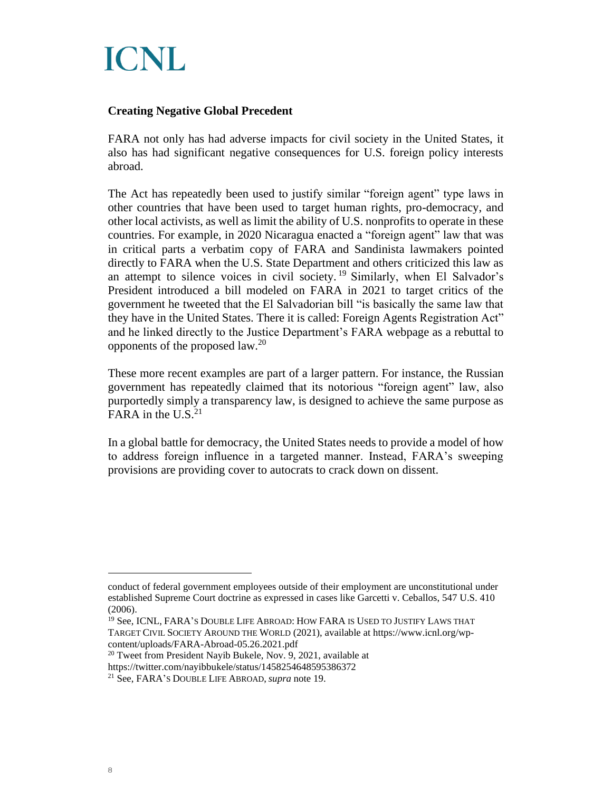

#### **Creating Negative Global Precedent**

FARA not only has had adverse impacts for civil society in the United States, it also has had significant negative consequences for U.S. foreign policy interests abroad.

The Act has repeatedly been used to justify similar "foreign agent" type laws in other countries that have been used to target human rights, pro-democracy, and other local activists, as well as limit the ability of U.S. nonprofits to operate in these countries. For example, in 2020 Nicaragua enacted a "foreign agent" law that was in critical parts a verbatim copy of FARA and Sandinista lawmakers pointed directly to FARA when the U.S. State Department and others criticized this law as an attempt to silence voices in civil society.<sup>19</sup> Similarly, when El Salvador's President introduced a bill modeled on FARA in 2021 to target critics of the government he tweeted that the El Salvadorian bill "is basically the same law that they have in the United States. There it is called: Foreign Agents Registration Act" and he linked directly to the Justice Department's FARA webpage as a rebuttal to opponents of the proposed law.<sup>20</sup>

These more recent examples are part of a larger pattern. For instance, the Russian government has repeatedly claimed that its notorious "foreign agent" law, also purportedly simply a transparency law, is designed to achieve the same purpose as FARA in the  $U.S.<sup>21</sup>$ 

In a global battle for democracy, the United States needs to provide a model of how to address foreign influence in a targeted manner. Instead, FARA's sweeping provisions are providing cover to autocrats to crack down on dissent.

conduct of federal government employees outside of their employment are unconstitutional under established Supreme Court doctrine as expressed in cases like Garcetti v. Ceballos, 547 U.S. 410 (2006).

<sup>19</sup> See, ICNL, FARA'S DOUBLE LIFE ABROAD: HOW FARA IS USED TO JUSTIFY LAWS THAT TARGET CIVIL SOCIETY AROUND THE WORLD (2021), available at https://www.icnl.org/wpcontent/uploads/FARA-Abroad-05.26.2021.pdf

<sup>&</sup>lt;sup>20</sup> Tweet from President Nayib Bukele, Nov. 9, 2021, available at

https://twitter.com/nayibbukele/status/1458254648595386372

<sup>21</sup> See, FARA'S DOUBLE LIFE ABROAD, *supra* note 19.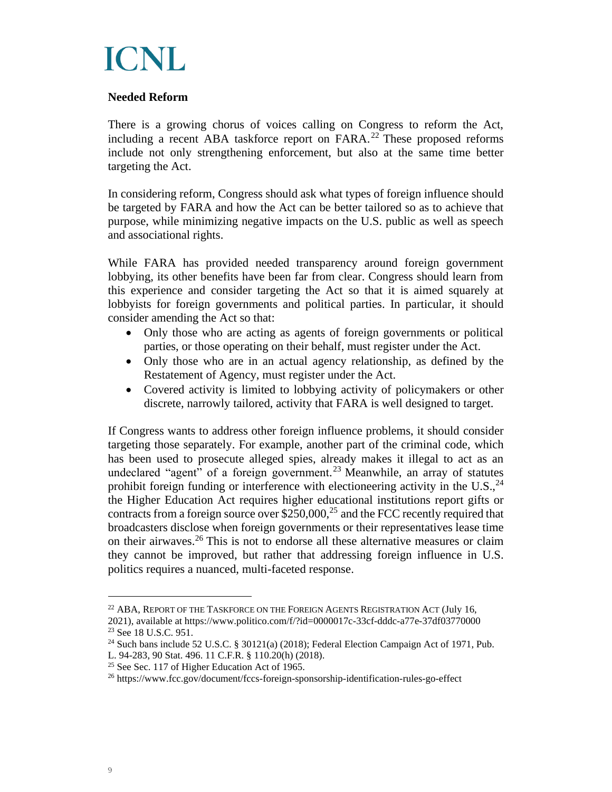

#### **Needed Reform**

There is a growing chorus of voices calling on Congress to reform the Act, including a recent ABA taskforce report on  $FARA<sup>22</sup>$  These proposed reforms include not only strengthening enforcement, but also at the same time better targeting the Act.

In considering reform, Congress should ask what types of foreign influence should be targeted by FARA and how the Act can be better tailored so as to achieve that purpose, while minimizing negative impacts on the U.S. public as well as speech and associational rights.

While FARA has provided needed transparency around foreign government lobbying, its other benefits have been far from clear. Congress should learn from this experience and consider targeting the Act so that it is aimed squarely at lobbyists for foreign governments and political parties. In particular, it should consider amending the Act so that:

- Only those who are acting as agents of foreign governments or political parties, or those operating on their behalf, must register under the Act.
- Only those who are in an actual agency relationship, as defined by the Restatement of Agency, must register under the Act.
- Covered activity is limited to lobbying activity of policymakers or other discrete, narrowly tailored, activity that FARA is well designed to target.

If Congress wants to address other foreign influence problems, it should consider targeting those separately. For example, another part of the criminal code, which has been used to prosecute alleged spies, already makes it illegal to act as an undeclared "agent" of a foreign government.<sup>23</sup> Meanwhile, an array of statutes prohibit foreign funding or interference with electioneering activity in the U.S.,  $^{24}$ the Higher Education Act requires higher educational institutions report gifts or contracts from a foreign source over \$250,000, $^{25}$  and the FCC recently required that broadcasters disclose when foreign governments or their representatives lease time on their airwaves. <sup>26</sup> This is not to endorse all these alternative measures or claim they cannot be improved, but rather that addressing foreign influence in U.S. politics requires a nuanced, multi-faceted response.

 $^{22}$  ABA, REPORT OF THE TASKFORCE ON THE FOREIGN AGENTS REGISTRATION ACT (July 16, 2021), available at https://www.politico.com/f/?id=0000017c-33cf-dddc-a77e-37df03770000 <sup>23</sup> See 18 U.S.C. 951.

<sup>&</sup>lt;sup>24</sup> Such bans include 52 U.S.C. § 30121(a) (2018); Federal Election Campaign Act of 1971, Pub. L. 94-283, 90 Stat. 496. 11 C.F.R. § 110.20(h) (2018).

<sup>25</sup> See Sec. 117 of Higher Education Act of 1965.

<sup>&</sup>lt;sup>26</sup> https://www.fcc.gov/document/fccs-foreign-sponsorship-identification-rules-go-effect